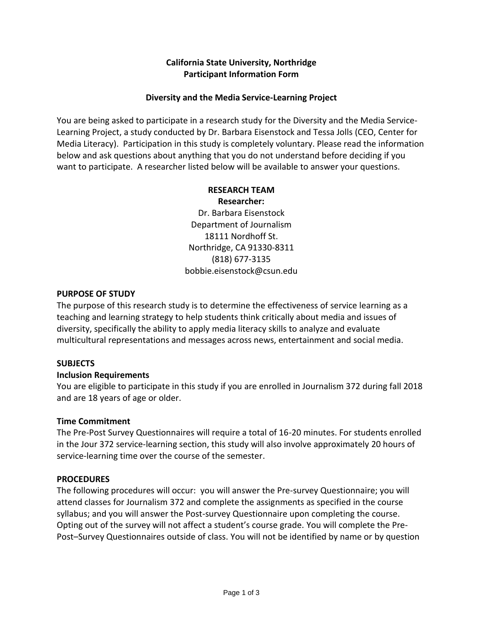# **California State University, Northridge Participant Information Form**

## **Diversity and the Media Service-Learning Project**

You are being asked to participate in a research study for the Diversity and the Media Service-Learning Project, a study conducted by Dr. Barbara Eisenstock and Tessa Jolls (CEO, Center for Media Literacy). Participation in this study is completely voluntary. Please read the information below and ask questions about anything that you do not understand before deciding if you want to participate. A researcher listed below will be available to answer your questions.

#### **RESEARCH TEAM Researcher:**

Dr. Barbara Eisenstock Department of Journalism 18111 Nordhoff St. Northridge, CA 91330-8311 (818) 677-3135 bobbie.eisenstock@csun.edu

### **PURPOSE OF STUDY**

The purpose of this research study is to determine the effectiveness of service learning as a teaching and learning strategy to help students think critically about media and issues of diversity, specifically the ability to apply media literacy skills to analyze and evaluate multicultural representations and messages across news, entertainment and social media.

# **SUBJECTS**

### **Inclusion Requirements**

You are eligible to participate in this study if you are enrolled in Journalism 372 during fall 2018 and are 18 years of age or older.

# **Time Commitment**

The Pre-Post Survey Questionnaires will require a total of 16-20 minutes. For students enrolled in the Jour 372 service-learning section, this study will also involve approximately 20 hours of service-learning time over the course of the semester.

### **PROCEDURES**

The following procedures will occur: you will answer the Pre-survey Questionnaire; you will attend classes for Journalism 372 and complete the assignments as specified in the course syllabus; and you will answer the Post-survey Questionnaire upon completing the course. Opting out of the survey will not affect a student's course grade. You will complete the Pre-Post–Survey Questionnaires outside of class. You will not be identified by name or by question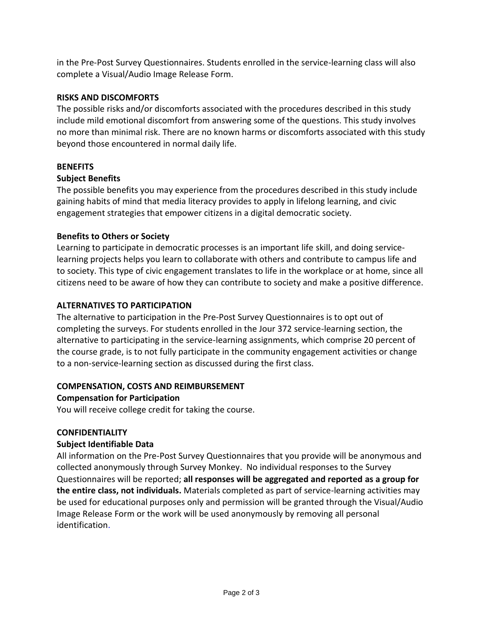in the Pre-Post Survey Questionnaires. Students enrolled in the service-learning class will also complete a Visual/Audio Image Release Form.

## **RISKS AND DISCOMFORTS**

The possible risks and/or discomforts associated with the procedures described in this study include mild emotional discomfort from answering some of the questions. This study involves no more than minimal risk. There are no known harms or discomforts associated with this study beyond those encountered in normal daily life.

### **BENEFITS**

### **Subject Benefits**

The possible benefits you may experience from the procedures described in this study include gaining habits of mind that media literacy provides to apply in lifelong learning, and civic engagement strategies that empower citizens in a digital democratic society.

### **Benefits to Others or Society**

Learning to participate in democratic processes is an important life skill, and doing servicelearning projects helps you learn to collaborate with others and contribute to campus life and to society. This type of civic engagement translates to life in the workplace or at home, since all citizens need to be aware of how they can contribute to society and make a positive difference.

### **ALTERNATIVES TO PARTICIPATION**

The alternative to participation in the Pre-Post Survey Questionnaires is to opt out of completing the surveys. For students enrolled in the Jour 372 service-learning section, the alternative to participating in the service-learning assignments, which comprise 20 percent of the course grade, is to not fully participate in the community engagement activities or change to a non-service-learning section as discussed during the first class.

### **COMPENSATION, COSTS AND REIMBURSEMENT**

### **Compensation for Participation**

You will receive college credit for taking the course.

### **CONFIDENTIALITY**

### **Subject Identifiable Data**

All information on the Pre-Post Survey Questionnaires that you provide will be anonymous and collected anonymously through Survey Monkey. No individual responses to the Survey Questionnaires will be reported; **all responses will be aggregated and reported as a group for the entire class, not individuals.** Materials completed as part of service-learning activities may be used for educational purposes only and permission will be granted through the Visual/Audio Image Release Form or the work will be used anonymously by removing all personal identification.